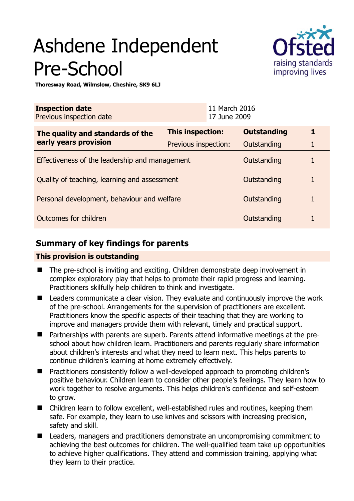# Ashdene Independent Pre-School



**Thoresway Road, Wilmslow, Cheshire, SK9 6LJ** 

| <b>Inspection date</b><br>Previous inspection date        |                         | 11 March 2016<br>17 June 2009 |                    |   |
|-----------------------------------------------------------|-------------------------|-------------------------------|--------------------|---|
| The quality and standards of the<br>early years provision | <b>This inspection:</b> |                               | <b>Outstanding</b> | 1 |
|                                                           | Previous inspection:    |                               | Outstanding        | 1 |
| Effectiveness of the leadership and management            |                         |                               | Outstanding        |   |
| Quality of teaching, learning and assessment              |                         |                               | Outstanding        |   |
| Personal development, behaviour and welfare               |                         |                               | Outstanding        | 1 |
| Outcomes for children<br>Outstanding                      |                         |                               |                    |   |

# **Summary of key findings for parents**

## **This provision is outstanding**

- The pre-school is inviting and exciting. Children demonstrate deep involvement in complex exploratory play that helps to promote their rapid progress and learning. Practitioners skilfully help children to think and investigate.
- Leaders communicate a clear vision. They evaluate and continuously improve the work of the pre-school. Arrangements for the supervision of practitioners are excellent. Practitioners know the specific aspects of their teaching that they are working to improve and managers provide them with relevant, timely and practical support.
- Partnerships with parents are superb. Parents attend informative meetings at the preschool about how children learn. Practitioners and parents regularly share information about children's interests and what they need to learn next. This helps parents to continue children's learning at home extremely effectively.
- Practitioners consistently follow a well-developed approach to promoting children's positive behaviour. Children learn to consider other people's feelings. They learn how to work together to resolve arguments. This helps children's confidence and self-esteem to grow.
- Children learn to follow excellent, well-established rules and routines, keeping them safe. For example, they learn to use knives and scissors with increasing precision, safety and skill.
- Leaders, managers and practitioners demonstrate an uncompromising commitment to achieving the best outcomes for children. The well-qualified team take up opportunities to achieve higher qualifications. They attend and commission training, applying what they learn to their practice.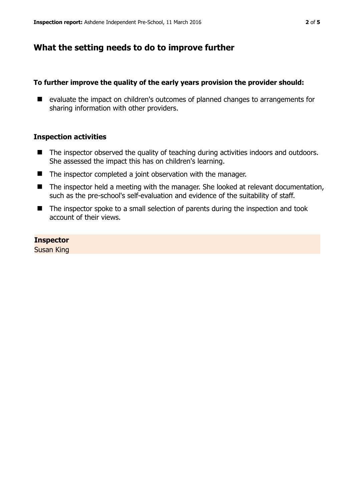## **What the setting needs to do to improve further**

### **To further improve the quality of the early years provision the provider should:**

■ evaluate the impact on children's outcomes of planned changes to arrangements for sharing information with other providers.

### **Inspection activities**

- The inspector observed the quality of teaching during activities indoors and outdoors. She assessed the impact this has on children's learning.
- The inspector completed a joint observation with the manager.
- The inspector held a meeting with the manager. She looked at relevant documentation, such as the pre-school's self-evaluation and evidence of the suitability of staff.
- The inspector spoke to a small selection of parents during the inspection and took account of their views.

**Inspector**  Susan King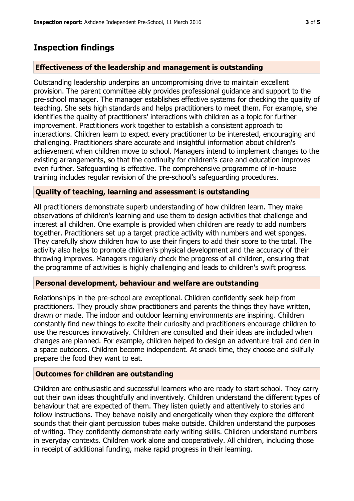# **Inspection findings**

## **Effectiveness of the leadership and management is outstanding**

Outstanding leadership underpins an uncompromising drive to maintain excellent provision. The parent committee ably provides professional guidance and support to the pre-school manager. The manager establishes effective systems for checking the quality of teaching. She sets high standards and helps practitioners to meet them. For example, she identifies the quality of practitioners' interactions with children as a topic for further improvement. Practitioners work together to establish a consistent approach to interactions. Children learn to expect every practitioner to be interested, encouraging and challenging. Practitioners share accurate and insightful information about children's achievement when children move to school. Managers intend to implement changes to the existing arrangements, so that the continuity for children's care and education improves even further. Safeguarding is effective. The comprehensive programme of in-house training includes regular revision of the pre-school's safeguarding procedures.

## **Quality of teaching, learning and assessment is outstanding**

All practitioners demonstrate superb understanding of how children learn. They make observations of children's learning and use them to design activities that challenge and interest all children. One example is provided when children are ready to add numbers together. Practitioners set up a target practice activity with numbers and wet sponges. They carefully show children how to use their fingers to add their score to the total. The activity also helps to promote children's physical development and the accuracy of their throwing improves. Managers regularly check the progress of all children, ensuring that the programme of activities is highly challenging and leads to children's swift progress.

## **Personal development, behaviour and welfare are outstanding**

Relationships in the pre-school are exceptional. Children confidently seek help from practitioners. They proudly show practitioners and parents the things they have written, drawn or made. The indoor and outdoor learning environments are inspiring. Children constantly find new things to excite their curiosity and practitioners encourage children to use the resources innovatively. Children are consulted and their ideas are included when changes are planned. For example, children helped to design an adventure trail and den in a space outdoors. Children become independent. At snack time, they choose and skilfully prepare the food they want to eat.

#### **Outcomes for children are outstanding**

Children are enthusiastic and successful learners who are ready to start school. They carry out their own ideas thoughtfully and inventively. Children understand the different types of behaviour that are expected of them. They listen quietly and attentively to stories and follow instructions. They behave noisily and energetically when they explore the different sounds that their giant percussion tubes make outside. Children understand the purposes of writing. They confidently demonstrate early writing skills. Children understand numbers in everyday contexts. Children work alone and cooperatively. All children, including those in receipt of additional funding, make rapid progress in their learning.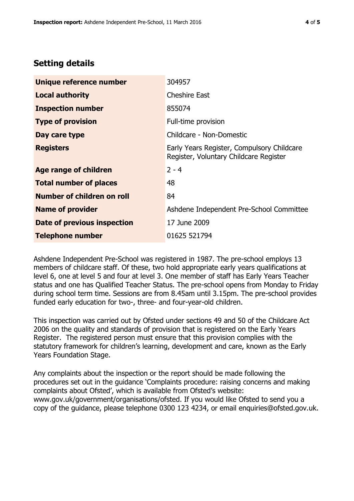## **Setting details**

| Unique reference number       | 304957                                                                               |  |
|-------------------------------|--------------------------------------------------------------------------------------|--|
| <b>Local authority</b>        | <b>Cheshire East</b>                                                                 |  |
| <b>Inspection number</b>      | 855074                                                                               |  |
| <b>Type of provision</b>      | Full-time provision                                                                  |  |
| Day care type                 | Childcare - Non-Domestic                                                             |  |
| <b>Registers</b>              | Early Years Register, Compulsory Childcare<br>Register, Voluntary Childcare Register |  |
| Age range of children         | $2 - 4$                                                                              |  |
| <b>Total number of places</b> | 48                                                                                   |  |
| Number of children on roll    | 84                                                                                   |  |
| <b>Name of provider</b>       | Ashdene Independent Pre-School Committee                                             |  |
| Date of previous inspection   | 17 June 2009                                                                         |  |
| <b>Telephone number</b>       | 01625 521794                                                                         |  |

Ashdene Independent Pre-School was registered in 1987. The pre-school employs 13 members of childcare staff. Of these, two hold appropriate early years qualifications at level 6, one at level 5 and four at level 3. One member of staff has Early Years Teacher status and one has Qualified Teacher Status. The pre-school opens from Monday to Friday during school term time. Sessions are from 8.45am until 3.15pm. The pre-school provides funded early education for two-, three- and four-year-old children.

This inspection was carried out by Ofsted under sections 49 and 50 of the Childcare Act 2006 on the quality and standards of provision that is registered on the Early Years Register. The registered person must ensure that this provision complies with the statutory framework for children's learning, development and care, known as the Early Years Foundation Stage.

Any complaints about the inspection or the report should be made following the procedures set out in the guidance 'Complaints procedure: raising concerns and making complaints about Ofsted', which is available from Ofsted's website: www.gov.uk/government/organisations/ofsted. If you would like Ofsted to send you a copy of the guidance, please telephone 0300 123 4234, or email enquiries@ofsted.gov.uk.